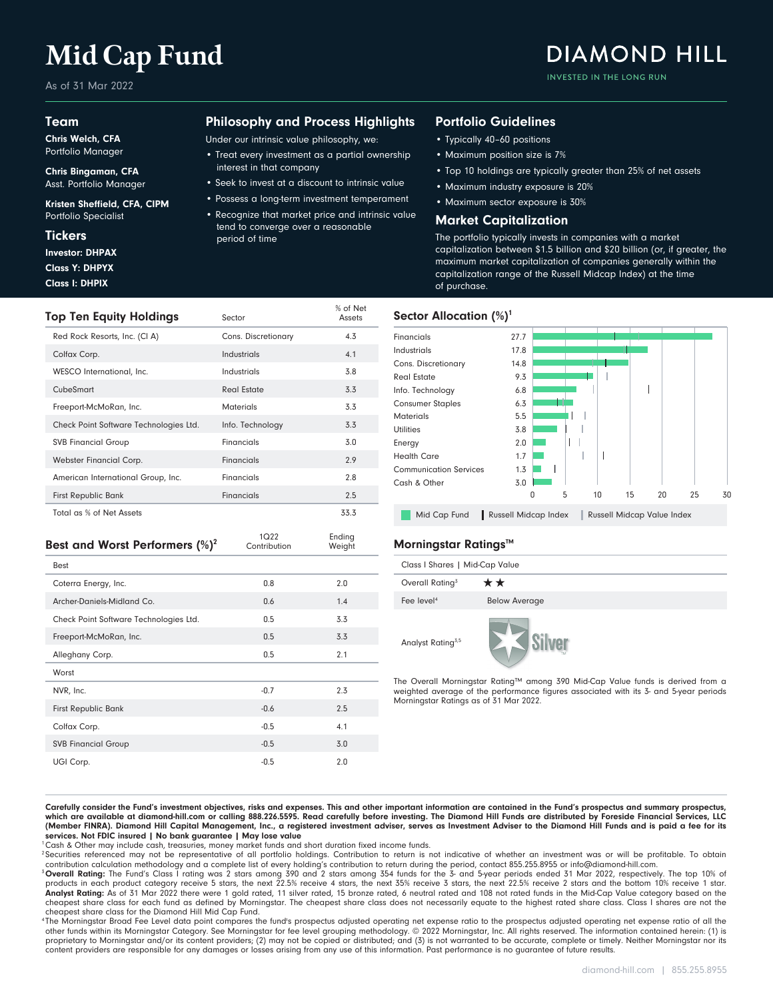# **Mid Cap Fund**

As of 31 Mar 2022

#### Team

Chris Welch, CFA Portfolio Manager

Chris Bingaman, CFA Asst. Portfolio Manager

Kristen Sheffield, CFA, CIPM Portfolio Specialist

#### **Tickers**

Class I: DHPIX Class Y: DHPYX Investor: DHPAX

### Philosophy and Process Highlights

Under our intrinsic value philosophy, we:

- Treat every investment as a partial ownership interest in that company
- Seek to invest at a discount to intrinsic value
- Possess a long-term investment temperament
- Recognize that market price and intrinsic value tend to converge over a reasonable period of time

% of Net<br>Assets

#### Portfolio Guidelines

- Typically 40–60 positions
- Maximum position size is 7%
- Top 10 holdings are typically greater than 25% of net assets

**DIAMOND HILL** 

INVESTED IN THE LONG RUN

- Maximum industry exposure is 20%
- Maximum sector exposure is 30%

#### Market Capitalization

The portfolio typically invests in companies with a market capitalization between \$1.5 billion and \$20 billion (or, if greater, the maximum market capitalization of companies generally within the capitalization range of the Russell Midcap Index) at the time of purchase.

#### **Top Ten Equity Holdings** Sector Sector Allocation (%)<sup>1</sup>



Mid Cap Fund Russell Midcap Index | Russell Midcap Value Index

| Class I Shares   Mid-Cap Value |                      |  |  |
|--------------------------------|----------------------|--|--|
| Overall Rating <sup>3</sup>    | **                   |  |  |
| Fee level <sup>4</sup>         | <b>Below Average</b> |  |  |
| Analyst Rating <sup>3,5</sup>  |                      |  |  |

The Overall Morningstar Rating™ among 390 Mid-Cap Value funds is derived from a weighted average of the performance figures associated with its 3- and 5-year periods Morningstar Ratings as of 31 Mar 2022.

Total as % of Net Assets 33.3 First Republic Bank **Financials Financials** 2.5 American International Group, Inc. Financials Financials 2.8 Webster Financial Corp. **Financials** 2.9 SVB Financial Group **Financials** 5.0 Check Point Software Technologies Ltd. Info. Technology 3.3 Freeport-McMoRan, Inc. 6. Materials Materials 3.3 CubeSmart 3.3 WESCO International, Inc. 6. Industrials 1.8 Colfax Corp. Industrials 4.1 Red Rock Resorts, Inc. (CI A) Cons. Discretionary 4.3 Ending Weight 1Q22 **Best and Worst Performers (%)<sup>2</sup>** Contribution Weight **Morningstar Ratings™** 

Carefully consider the Fund's investment objectives, risks and expenses. This and other important information are contained in the Fund's prospectus and summary prospectus, which are available at diamond-hill.com or calling 888.226.5595. Read carefully before investing. The Diamond Hill Funds are distributed by Foreside Financial Services, LLC (Member FINRA). Diamond Hill Capital Management, Inc., a registered investment adviser, serves as Investment Adviser to the Diamond Hill Funds and is paid a fee for its services. Not FDIC insured | No bank guarantee | May lose value

<sup>1</sup>Cash & Other may include cash, treasuries, money market funds and short duration fixed income funds.

<sup>2</sup> Securities referenced may not be representative of all portfolio holdings. Contribution to return is not indicative of whether an investment was or will be profitable. To obtain contribution calculation methodology and a complete list of every holding's contribution to return during the period, contact 855.255.8955 or info@diamond-hill.com.

<sup>3</sup> Overall Rating: The Fund's Class I rating was 2 stars among 390 and 2 stars among 354 funds for the 3- and 5-year periods ended 31 Mar 2022, respectively. The top 10% of<br>products in each product category receive 5 star .<br>Analyst Rating: As of 31 Mar 2022 there were 1 gold rated, 11 silver rated, 15 bronze rated, 6 neutral rated and 108 not rated funds in the Mid-Cap Value category based on the cheapest share class for each fund as defined by Morningstar. The cheapest share class does not necessarily equate to the highest rated share class. Class I shares are not the cheapest share class for the Diamond Hill Mid Cap Fund.

<sup>4</sup>The Morningstar Broad Fee Level data point compares the fund's prospectus adjusted operating net expense ratio of and the or operating net expense ratio of all the other funds within its Morningstar Category. See Morningstar for fee level grouping methodology. © 2022 Morningstar, Inc. All rights reserved. The information contained herein: (1) is proprietary to Morningstar and/or its content providers; (2) may not be copied or distributed; and (3) is not warranted to be accurate, complete or timely. Neither Morningstar nor its content providers are responsible for any damages or losses arising from any use of this information. Past performance is no guarantee of future results.